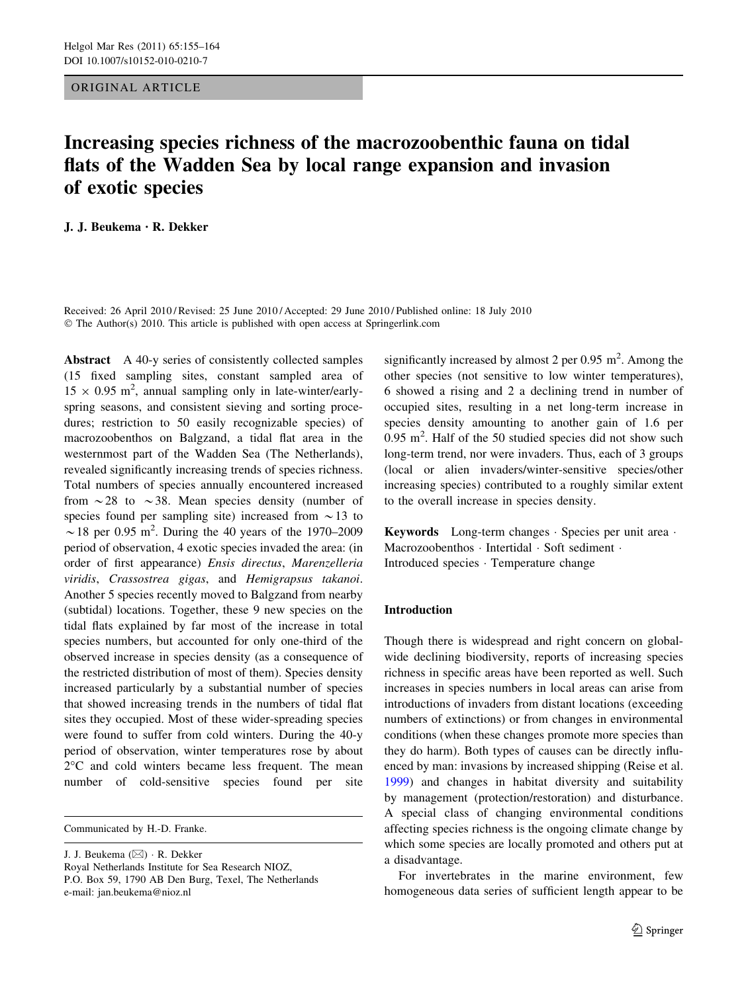ORIGINAL ARTICLE

# Increasing species richness of the macrozoobenthic fauna on tidal flats of the Wadden Sea by local range expansion and invasion of exotic species

J. J. Beukema • R. Dekker

Received: 26 April 2010 / Revised: 25 June 2010 / Accepted: 29 June 2010 / Published online: 18 July 2010 © The Author(s) 2010. This article is published with open access at Springerlink.com

Abstract A 40-y series of consistently collected samples (15 fixed sampling sites, constant sampled area of  $15 \times 0.95$  m<sup>2</sup>, annual sampling only in late-winter/earlyspring seasons, and consistent sieving and sorting procedures; restriction to 50 easily recognizable species) of macrozoobenthos on Balgzand, a tidal flat area in the westernmost part of the Wadden Sea (The Netherlands), revealed significantly increasing trends of species richness. Total numbers of species annually encountered increased from  $\sim$  28 to  $\sim$  38. Mean species density (number of species found per sampling site) increased from  $\sim$ 13 to  $\sim$  18 per 0.95 m<sup>2</sup>. During the 40 years of the 1970–2009 period of observation, 4 exotic species invaded the area: (in order of first appearance) Ensis directus, Marenzelleria viridis, Crassostrea gigas, and Hemigrapsus takanoi. Another 5 species recently moved to Balgzand from nearby (subtidal) locations. Together, these 9 new species on the tidal flats explained by far most of the increase in total species numbers, but accounted for only one-third of the observed increase in species density (as a consequence of the restricted distribution of most of them). Species density increased particularly by a substantial number of species that showed increasing trends in the numbers of tidal flat sites they occupied. Most of these wider-spreading species were found to suffer from cold winters. During the 40-y period of observation, winter temperatures rose by about  $2^{\circ}$ C and cold winters became less frequent. The mean number of cold-sensitive species found per site

Communicated by H.-D. Franke.

J. J. Beukema (&) - R. Dekker Royal Netherlands Institute for Sea Research NIOZ, P.O. Box 59, 1790 AB Den Burg, Texel, The Netherlands e-mail: jan.beukema@nioz.nl

significantly increased by almost 2 per 0.95  $m^2$ . Among the other species (not sensitive to low winter temperatures), 6 showed a rising and 2 a declining trend in number of occupied sites, resulting in a net long-term increase in species density amounting to another gain of 1.6 per  $0.95$  m<sup>2</sup>. Half of the 50 studied species did not show such long-term trend, nor were invaders. Thus, each of 3 groups (local or alien invaders/winter-sensitive species/other increasing species) contributed to a roughly similar extent to the overall increase in species density.

Keywords Long-term changes · Species per unit area · Macrozoobenthos · Intertidal · Soft sediment · Introduced species - Temperature change

# Introduction

Though there is widespread and right concern on globalwide declining biodiversity, reports of increasing species richness in specific areas have been reported as well. Such increases in species numbers in local areas can arise from introductions of invaders from distant locations (exceeding numbers of extinctions) or from changes in environmental conditions (when these changes promote more species than they do harm). Both types of causes can be directly influenced by man: invasions by increased shipping (Reise et al. [1999](#page-9-0)) and changes in habitat diversity and suitability by management (protection/restoration) and disturbance. A special class of changing environmental conditions affecting species richness is the ongoing climate change by which some species are locally promoted and others put at a disadvantage.

For invertebrates in the marine environment, few homogeneous data series of sufficient length appear to be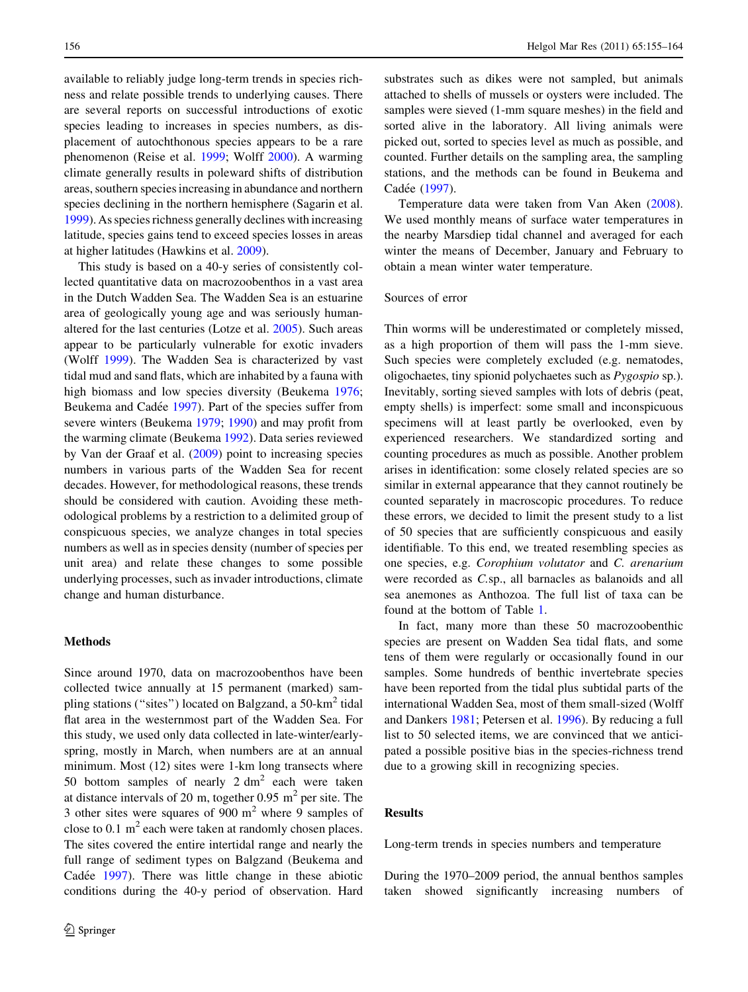available to reliably judge long-term trends in species richness and relate possible trends to underlying causes. There are several reports on successful introductions of exotic species leading to increases in species numbers, as displacement of autochthonous species appears to be a rare phenomenon (Reise et al. [1999;](#page-9-0) Wolff [2000](#page-9-0)). A warming climate generally results in poleward shifts of distribution areas, southern species increasing in abundance and northern species declining in the northern hemisphere (Sagarin et al. [1999\)](#page-9-0). As species richness generally declines with increasing latitude, species gains tend to exceed species losses in areas at higher latitudes (Hawkins et al. [2009\)](#page-9-0).

This study is based on a 40-y series of consistently collected quantitative data on macrozoobenthos in a vast area in the Dutch Wadden Sea. The Wadden Sea is an estuarine area of geologically young age and was seriously humanaltered for the last centuries (Lotze et al. [2005](#page-9-0)). Such areas appear to be particularly vulnerable for exotic invaders (Wolff [1999\)](#page-9-0). The Wadden Sea is characterized by vast tidal mud and sand flats, which are inhabited by a fauna with high biomass and low species diversity (Beukema [1976](#page-8-0); Beukema and Cadée [1997](#page-8-0)). Part of the species suffer from severe winters (Beukema [1979;](#page-8-0) [1990](#page-8-0)) and may profit from the warming climate (Beukema [1992](#page-8-0)). Data series reviewed by Van der Graaf et al. ([2009\)](#page-9-0) point to increasing species numbers in various parts of the Wadden Sea for recent decades. However, for methodological reasons, these trends should be considered with caution. Avoiding these methodological problems by a restriction to a delimited group of conspicuous species, we analyze changes in total species numbers as well as in species density (number of species per unit area) and relate these changes to some possible underlying processes, such as invader introductions, climate change and human disturbance.

#### Methods

Since around 1970, data on macrozoobenthos have been collected twice annually at 15 permanent (marked) sampling stations ("sites") located on Balgzand, a 50-km<sup>2</sup> tidal flat area in the westernmost part of the Wadden Sea. For this study, we used only data collected in late-winter/earlyspring, mostly in March, when numbers are at an annual minimum. Most (12) sites were 1-km long transects where 50 bottom samples of nearly  $2 \text{ dm}^2$  each were taken at distance intervals of 20 m, together  $0.95 \text{ m}^2$  per site. The 3 other sites were squares of 900  $m<sup>2</sup>$  where 9 samples of close to 0.1  $m<sup>2</sup>$  each were taken at randomly chosen places. The sites covered the entire intertidal range and nearly the full range of sediment types on Balgzand (Beukema and Cadée [1997\)](#page-8-0). There was little change in these abiotic conditions during the 40-y period of observation. Hard substrates such as dikes were not sampled, but animals attached to shells of mussels or oysters were included. The samples were sieved (1-mm square meshes) in the field and sorted alive in the laboratory. All living animals were picked out, sorted to species level as much as possible, and counted. Further details on the sampling area, the sampling stations, and the methods can be found in Beukema and Cadée ([1997\)](#page-8-0).

Temperature data were taken from Van Aken [\(2008](#page-9-0)). We used monthly means of surface water temperatures in the nearby Marsdiep tidal channel and averaged for each winter the means of December, January and February to obtain a mean winter water temperature.

#### Sources of error

Thin worms will be underestimated or completely missed, as a high proportion of them will pass the 1-mm sieve. Such species were completely excluded (e.g. nematodes, oligochaetes, tiny spionid polychaetes such as Pygospio sp.). Inevitably, sorting sieved samples with lots of debris (peat, empty shells) is imperfect: some small and inconspicuous specimens will at least partly be overlooked, even by experienced researchers. We standardized sorting and counting procedures as much as possible. Another problem arises in identification: some closely related species are so similar in external appearance that they cannot routinely be counted separately in macroscopic procedures. To reduce these errors, we decided to limit the present study to a list of 50 species that are sufficiently conspicuous and easily identifiable. To this end, we treated resembling species as one species, e.g. Corophium volutator and C. arenarium were recorded as C.sp., all barnacles as balanoids and all sea anemones as Anthozoa. The full list of taxa can be found at the bottom of Table [1](#page-2-0).

In fact, many more than these 50 macrozoobenthic species are present on Wadden Sea tidal flats, and some tens of them were regularly or occasionally found in our samples. Some hundreds of benthic invertebrate species have been reported from the tidal plus subtidal parts of the international Wadden Sea, most of them small-sized (Wolff and Dankers [1981;](#page-9-0) Petersen et al. [1996](#page-9-0)). By reducing a full list to 50 selected items, we are convinced that we anticipated a possible positive bias in the species-richness trend due to a growing skill in recognizing species.

## Results

Long-term trends in species numbers and temperature

During the 1970–2009 period, the annual benthos samples taken showed significantly increasing numbers of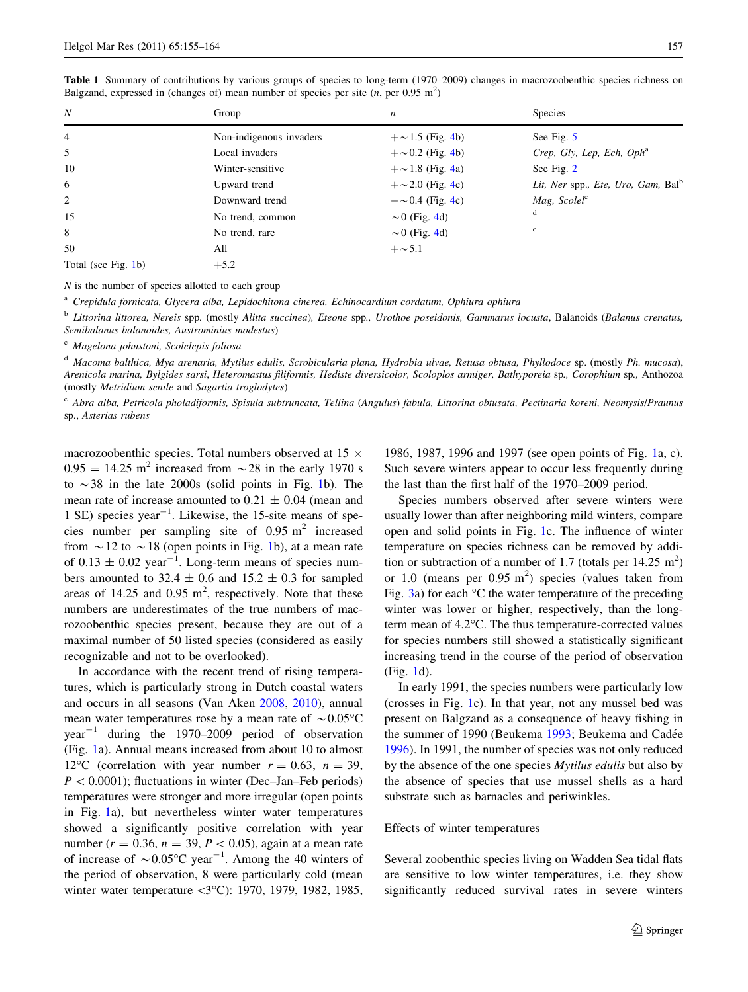| $\boldsymbol{N}$    | Group                   | n                       | <b>Species</b>                                 |
|---------------------|-------------------------|-------------------------|------------------------------------------------|
| $\overline{4}$      | Non-indigenous invaders | $+\sim 1.5$ (Fig. 4b)   | See Fig. 5                                     |
| 5                   | Local invaders          | $+\infty 0.2$ (Fig. 4b) | Crep, Gly, Lep, Ech, Oph <sup>a</sup>          |
| 10                  | Winter-sensitive        | $+\sim 1.8$ (Fig. 4a)   | See Fig. 2                                     |
| 6                   | Upward trend            | $+\infty 2.0$ (Fig. 4c) | Lit, Ner spp., Ete, Uro, Gam, Bal <sup>b</sup> |
| 2                   | Downward trend          | $-\sim 0.4$ (Fig. 4c)   | Mag, $Scolec$                                  |
| 15                  | No trend, common        | $\sim$ 0 (Fig. 4d)      | d                                              |
| 8                   | No trend, rare          | $\sim 0$ (Fig. 4d)      | e                                              |
| 50                  | All                     | $+\sim$ 5.1             |                                                |
| Total (see Fig. 1b) | $+5.2$                  |                         |                                                |

<span id="page-2-0"></span>Table 1 Summary of contributions by various groups of species to long-term (1970–2009) changes in macrozoobenthic species richness on Balgzand, expressed in (changes of) mean number of species per site  $(n, \text{per } 0.95 \text{ m}^2)$ 

 $N$  is the number of species allotted to each group

<sup>a</sup> Crepidula fornicata, Glycera alba, Lepidochitona cinerea, Echinocardium cordatum, Ophiura ophiura

<sup>b</sup> Littorina littorea, Nereis spp. (mostly Alitta succinea), Eteone spp., Urothoe poseidonis, Gammarus locusta, Balanoids (Balanus crenatus, Semibalanus balanoides, Austrominius modestus)

<sup>c</sup> Magelona johnstoni, Scolelepis foliosa

<sup>d</sup> Macoma balthica, Mya arenaria, Mytilus edulis, Scrobicularia plana, Hydrobia ulvae, Retusa obtusa, Phyllodoce sp. (mostly Ph. mucosa), Arenicola marina, Bylgides sarsi, Heteromastus filiformis, Hediste diversicolor, Scoloplos armiger, Bathyporeia sp., Corophium sp., Anthozoa (mostly Metridium senile and Sagartia troglodytes)

<sup>e</sup> Abra alba, Petricola pholadiformis, Spisula subtruncata, Tellina (Angulus) fabula, Littorina obtusata, Pectinaria koreni, Neomysis/Praunus sp., Asterias rubens

macrozoobenthic species. Total numbers observed at 15  $\times$  $0.95 = 14.25$  m<sup>2</sup> increased from  $\sim$  28 in the early 1970 s to  $\sim$  38 in the late 2000s (solid points in Fig. [1b](#page-3-0)). The mean rate of increase amounted to  $0.21 \pm 0.04$  (mean and 1 SE) species  $year^{-1}$ . Likewise, the 15-site means of species number per sampling site of  $0.95 \text{ m}^2$  increased from  $\sim$  [1](#page-3-0)2 to  $\sim$  18 (open points in Fig. 1b), at a mean rate of  $0.13 \pm 0.02$  year<sup>-1</sup>. Long-term means of species numbers amounted to 32.4  $\pm$  0.6 and 15.2  $\pm$  0.3 for sampled areas of 14.25 and 0.95  $m^2$ , respectively. Note that these numbers are underestimates of the true numbers of macrozoobenthic species present, because they are out of a maximal number of 50 listed species (considered as easily recognizable and not to be overlooked).

In accordance with the recent trend of rising temperatures, which is particularly strong in Dutch coastal waters and occurs in all seasons (Van Aken [2008,](#page-9-0) [2010\)](#page-9-0), annual mean water temperatures rose by a mean rate of  $\sim 0.05^{\circ}$ C  $year<sup>-1</sup> during the 1970–2009 period of observation$ (Fig. [1](#page-3-0)a). Annual means increased from about 10 to almost 12<sup>o</sup>C (correlation with year number  $r = 0.63$ ,  $n = 39$ ,  $P < 0.0001$ ; fluctuations in winter (Dec–Jan–Feb periods) temperatures were stronger and more irregular (open points in Fig. [1a](#page-3-0)), but nevertheless winter water temperatures showed a significantly positive correlation with year number ( $r = 0.36$ ,  $n = 39$ ,  $P < 0.05$ ), again at a mean rate of increase of  $\sim 0.05^{\circ}$ C year<sup>-1</sup>. Among the 40 winters of the period of observation, 8 were particularly cold (mean winter water temperature <3°C): 1970, 1979, 1982, 1985,

1986, 1987, 1996 and 1997 (see open points of Fig. [1](#page-3-0)a, c). Such severe winters appear to occur less frequently during the last than the first half of the 1970–2009 period.

Species numbers observed after severe winters were usually lower than after neighboring mild winters, compare open and solid points in Fig. [1](#page-3-0)c. The influence of winter temperature on species richness can be removed by addition or subtraction of a number of 1.7 (totals per 14.25 m<sup>2</sup>) or 1.0 (means per  $0.95 \text{ m}^2$ ) species (values taken from Fig. [3](#page-5-0)a) for each  $\mathrm{C}$  the water temperature of the preceding winter was lower or higher, respectively, than the longterm mean of  $4.2^{\circ}$ C. The thus temperature-corrected values for species numbers still showed a statistically significant increasing trend in the course of the period of observation (Fig. [1d](#page-3-0)).

In early 1991, the species numbers were particularly low (crosses in Fig. [1](#page-3-0)c). In that year, not any mussel bed was present on Balgzand as a consequence of heavy fishing in the summer of 1990 (Beukema [1993](#page-8-0); Beukema and Cadée [1996](#page-8-0)). In 1991, the number of species was not only reduced by the absence of the one species Mytilus edulis but also by the absence of species that use mussel shells as a hard substrate such as barnacles and periwinkles.

# Effects of winter temperatures

Several zoobenthic species living on Wadden Sea tidal flats are sensitive to low winter temperatures, i.e. they show significantly reduced survival rates in severe winters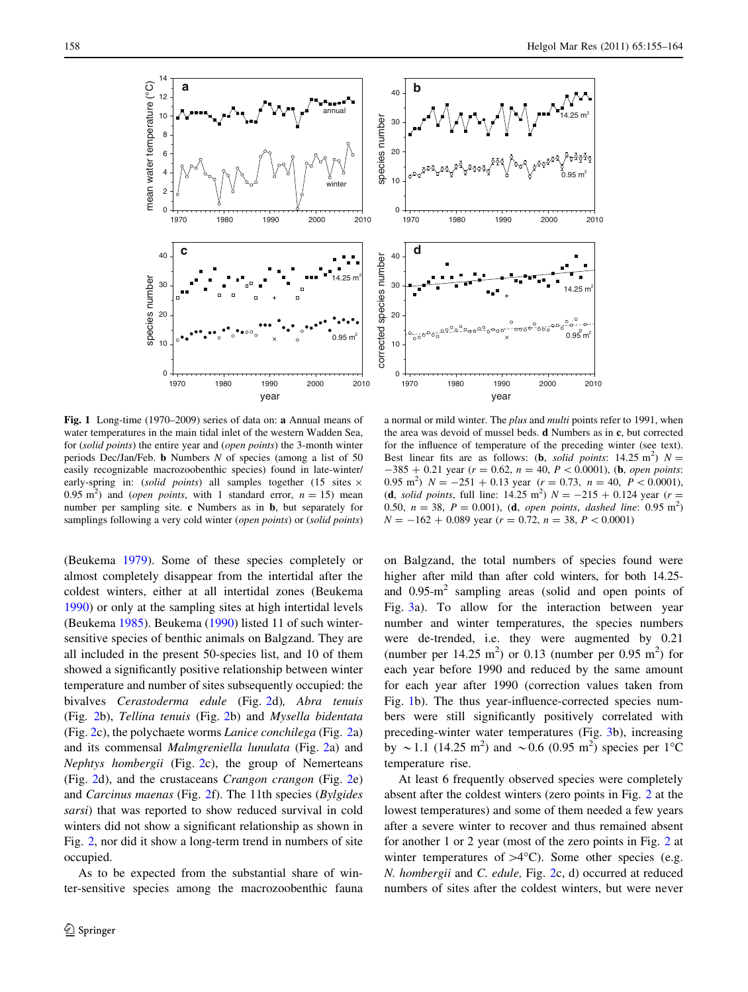<span id="page-3-0"></span>

Fig. 1 Long-time (1970–2009) series of data on: a Annual means of water temperatures in the main tidal inlet of the western Wadden Sea, for (solid points) the entire year and (open points) the 3-month winter periods Dec/Jan/Feb. b Numbers N of species (among a list of 50 easily recognizable macrozoobenthic species) found in late-winter/ early-spring in: (solid points) all samples together (15 sites  $\times$ 0.95 m<sup>2</sup>) and (open points, with 1 standard error,  $n = 15$ ) mean number per sampling site. c Numbers as in **b**, but separately for samplings following a very cold winter (open points) or (solid points)

(Beukema [1979\)](#page-8-0). Some of these species completely or almost completely disappear from the intertidal after the coldest winters, either at all intertidal zones (Beukema [1990\)](#page-8-0) or only at the sampling sites at high intertidal levels (Beukema [1985\)](#page-8-0). Beukema [\(1990](#page-8-0)) listed 11 of such wintersensitive species of benthic animals on Balgzand. They are all included in the present 50-species list, and 10 of them showed a significantly positive relationship between winter temperature and number of sites subsequently occupied: the bivalves Cerastoderma edule (Fig. [2d](#page-4-0)), Abra tenuis (Fig. [2b](#page-4-0)), Tellina tenuis (Fig. [2](#page-4-0)b) and Mysella bidentata (Fig. [2](#page-4-0)c), the polychaete worms Lanice conchilega (Fig. [2](#page-4-0)a) and its commensal Malmgreniella lunulata (Fig. [2a](#page-4-0)) and Nephtys hombergii (Fig. [2c](#page-4-0)), the group of Nemerteans (Fig. [2](#page-4-0)d), and the crustaceans Crangon crangon (Fig. [2](#page-4-0)e) and Carcinus maenas (Fig. [2](#page-4-0)f). The 11th species (Bylgides sarsi) that was reported to show reduced survival in cold winters did not show a significant relationship as shown in Fig. [2](#page-4-0), nor did it show a long-term trend in numbers of site occupied.

As to be expected from the substantial share of winter-sensitive species among the macrozoobenthic fauna

a normal or mild winter. The plus and multi points refer to 1991, when the area was devoid of mussel beds. d Numbers as in c, but corrected for the influence of temperature of the preceding winter (see text). Best linear fits are as follows: (**b**, *solid points*:  $14.25 \text{ m}^2$ )  $N =$  $-385 + 0.21$  year (r = 0.62, n = 40, P < 0.0001), (**b**, open points: 0.95 m<sup>2</sup>)  $N = -251 + 0.13$  year  $(r = 0.73, n = 40, P < 0.0001)$ , (**d**, *solid points*, full line:  $14.25 \text{ m}^2$ )  $N = -215 + 0.124 \text{ year}$  ( $r =$ 0.50,  $n = 38$ ,  $P = 0.001$ ), (**d**, *open points*, *dashed line*: 0.95 m<sup>2</sup>)  $N = -162 + 0.089$  year ( $r = 0.72$ ,  $n = 38$ ,  $P < 0.0001$ )

on Balgzand, the total numbers of species found were higher after mild than after cold winters, for both 14.25 and  $0.95 \text{ m}^2$  sampling areas (solid and open points of Fig. [3](#page-5-0)a). To allow for the interaction between year number and winter temperatures, the species numbers were de-trended, i.e. they were augmented by 0.21 (number per  $14.25 \text{ m}^2$ ) or 0.13 (number per 0.95 m<sup>2</sup>) for each year before 1990 and reduced by the same amount for each year after 1990 (correction values taken from Fig. 1b). The thus year-influence-corrected species numbers were still significantly positively correlated with preceding-winter water temperatures (Fig. [3](#page-5-0)b), increasing by  $\sim$  1.1 (14.25 m<sup>2</sup>) and  $\sim$  0.6 (0.95 m<sup>2</sup>) species per 1°C temperature rise.

At least 6 frequently observed species were completely absent after the coldest winters (zero points in Fig. [2](#page-4-0) at the lowest temperatures) and some of them needed a few years after a severe winter to recover and thus remained absent for another 1 or 2 year (most of the zero points in Fig. [2](#page-4-0) at winter temperatures of  $>4^{\circ}C$ ). Some other species (e.g. N. hombergii and C. edule, Fig. [2](#page-4-0)c, d) occurred at reduced numbers of sites after the coldest winters, but were never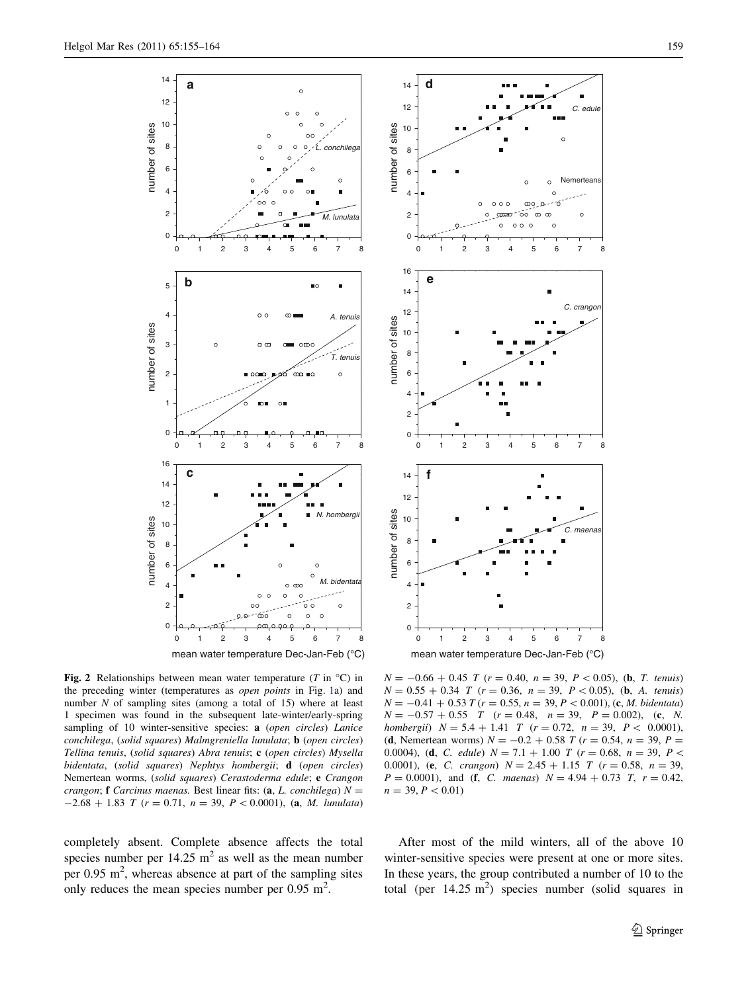<span id="page-4-0"></span>



completely absent. Complete absence affects the total species number per  $14.25 \text{ m}^2$  as well as the mean number per 0.95  $m^2$ , whereas absence at part of the sampling sites only reduces the mean species number per  $0.95 \text{ m}^2$ .



 $N = -0.66 + 0.45$  T ( $r = 0.40$ ,  $n = 39$ ,  $P \lt 0.05$ ), (b, T. tenuis)  $N = 0.55 + 0.34$  T ( $r = 0.36$ ,  $n = 39$ ,  $P < 0.05$ ), (**b**, A. tenuis)  $N = -0.41 + 0.53$  T ( $r = 0.55$ ,  $n = 39$ ,  $P < 0.001$ ), (c, M. bidentata)  $N = -0.57 + 0.55$  T (r = 0.48, n = 39, P = 0.002), (c, N. hombergii)  $N = 5.4 + 1.41$  T ( $r = 0.72$ ,  $n = 39$ ,  $P \lt 0.0001$ ), (d, Nemertean worms)  $N = -0.2 + 0.58$  T ( $r = 0.54$ ,  $n = 39$ ,  $P =$ 0.0004), (**d**, *C. edule*)  $N = 7.1 + 1.00$  *T* ( $r = 0.68$ ,  $n = 39$ ,  $P \le$ 0.0001), (e, C. crangon)  $N = 2.45 + 1.15$  T ( $r = 0.58$ ,  $n = 39$ ,  $P = 0.0001$ , and (f, C. maenas)  $N = 4.94 + 0.73$  T,  $r = 0.42$ ,  $n = 39, P < 0.01$ 

After most of the mild winters, all of the above 10 winter-sensitive species were present at one or more sites. In these years, the group contributed a number of 10 to the total (per  $14.25 \text{ m}^2$ ) species number (solid squares in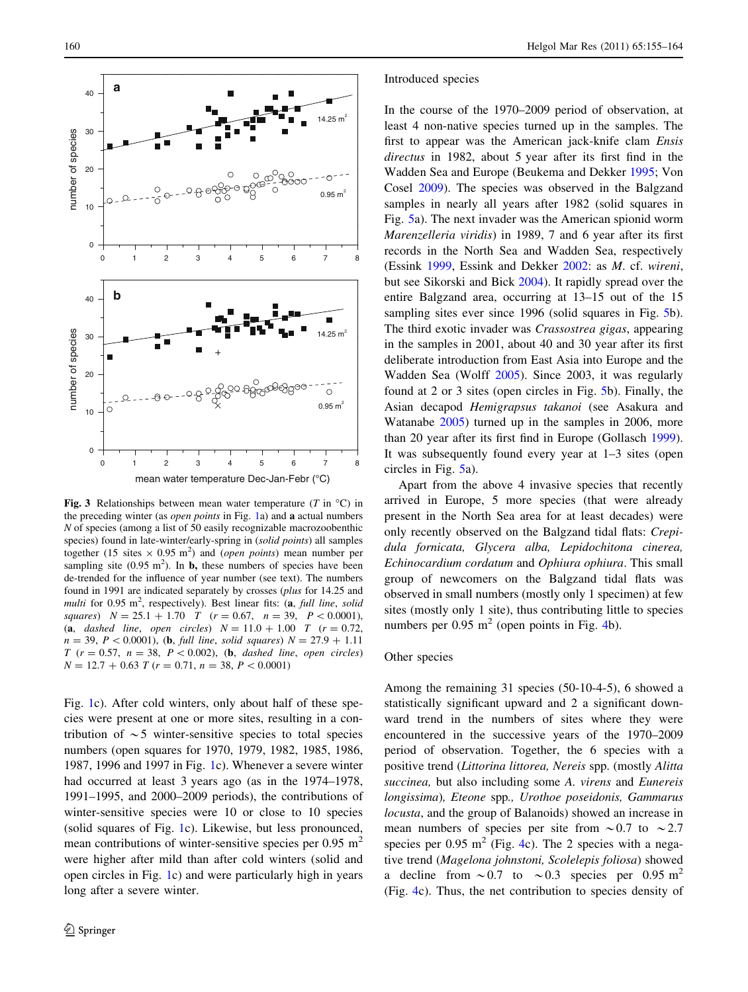<span id="page-5-0"></span>

Fig. 3 Relationships between mean water temperature (T in  $\mathrm{^{\circ}C}$ ) in the preceding winter (as open points in Fig. [1](#page-3-0)a) and a actual numbers N of species (among a list of 50 easily recognizable macrozoobenthic species) found in late-winter/early-spring in (solid points) all samples together (15 sites  $\times$  0.95 m<sup>2</sup>) and (*open points*) mean number per sampling site  $(0.95 \text{ m}^2)$ . In **b**, these numbers of species have been de-trended for the influence of year number (see text). The numbers found in 1991 are indicated separately by crosses (plus for 14.25 and multi for 0.95 m<sup>2</sup>, respectively). Best linear fits:  $(a, full line, solid)$ squares)  $N = 25.1 + 1.70$   $T (r = 0.67, n = 39, P < 0.0001)$ , (a, dashed line, open circles)  $N = 11.0 + 1.00$  T ( $r = 0.72$ ,  $n = 39, P < 0.0001$ , (b, full line, solid squares)  $N = 27.9 + 1.11$ T ( $r = 0.57$ ,  $n = 38$ ,  $P < 0.002$ ), (b, dashed line, open circles)  $N = 12.7 + 0.63$  T ( $r = 0.71$ ,  $n = 38$ ,  $P < 0.0001$ )

Fig. [1](#page-3-0)c). After cold winters, only about half of these species were present at one or more sites, resulting in a contribution of  $\sim$  5 winter-sensitive species to total species numbers (open squares for 1970, 1979, 1982, 1985, 1986, 1987, 1996 and 1997 in Fig. [1](#page-3-0)c). Whenever a severe winter had occurred at least 3 years ago (as in the 1974–1978, 1991–1995, and 2000–2009 periods), the contributions of winter-sensitive species were 10 or close to 10 species (solid squares of Fig. [1](#page-3-0)c). Likewise, but less pronounced, mean contributions of winter-sensitive species per  $0.95 \text{ m}^2$ were higher after mild than after cold winters (solid and open circles in Fig. [1](#page-3-0)c) and were particularly high in years long after a severe winter.

#### Introduced species

In the course of the 1970–2009 period of observation, at least 4 non-native species turned up in the samples. The first to appear was the American jack-knife clam Ensis directus in 1982, about 5 year after its first find in the Wadden Sea and Europe (Beukema and Dekker [1995;](#page-8-0) Von Cosel [2009](#page-9-0)). The species was observed in the Balgzand samples in nearly all years after 1982 (solid squares in Fig. [5](#page-7-0)a). The next invader was the American spionid worm Marenzelleria viridis) in 1989, 7 and 6 year after its first records in the North Sea and Wadden Sea, respectively (Essink [1999,](#page-8-0) Essink and Dekker [2002](#page-8-0): as M. cf. wireni, but see Sikorski and Bick [2004](#page-9-0)). It rapidly spread over the entire Balgzand area, occurring at 13–15 out of the 15 sampling sites ever since 1996 (solid squares in Fig. [5](#page-7-0)b). The third exotic invader was Crassostrea gigas, appearing in the samples in 2001, about 40 and 30 year after its first deliberate introduction from East Asia into Europe and the Wadden Sea (Wolff [2005](#page-9-0)). Since 2003, it was regularly found at 2 or 3 sites (open circles in Fig. [5b](#page-7-0)). Finally, the Asian decapod Hemigrapsus takanoi (see Asakura and Watanabe [2005](#page-8-0)) turned up in the samples in 2006, more than 20 year after its first find in Europe (Gollasch [1999](#page-9-0)). It was subsequently found every year at 1–3 sites (open circles in Fig. [5a](#page-7-0)).

Apart from the above 4 invasive species that recently arrived in Europe, 5 more species (that were already present in the North Sea area for at least decades) were only recently observed on the Balgzand tidal flats: Crepidula fornicata, Glycera alba, Lepidochitona cinerea, Echinocardium cordatum and Ophiura ophiura. This small group of newcomers on the Balgzand tidal flats was observed in small numbers (mostly only 1 specimen) at few sites (mostly only 1 site), thus contributing little to species numbers per  $0.95 \text{ m}^2$  (open points in Fig. [4b](#page-6-0)).

## Other species

Among the remaining 31 species (50-10-4-5), 6 showed a statistically significant upward and 2 a significant downward trend in the numbers of sites where they were encountered in the successive years of the 1970–2009 period of observation. Together, the 6 species with a positive trend (Littorina littorea, Nereis spp. (mostly Alitta succinea, but also including some A. virens and Eunereis longissima), Eteone spp., Urothoe poseidonis, Gammarus locusta, and the group of Balanoids) showed an increase in mean numbers of species per site from  $\sim 0.7$  to  $\sim 2.7$ species per  $0.95 \text{ m}^2$  (Fig. [4](#page-6-0)c). The 2 species with a negative trend (Magelona johnstoni, Scolelepis foliosa) showed a decline from  $\sim 0.7$  to  $\sim 0.3$  species per 0.95 m<sup>2</sup> (Fig. [4c](#page-6-0)). Thus, the net contribution to species density of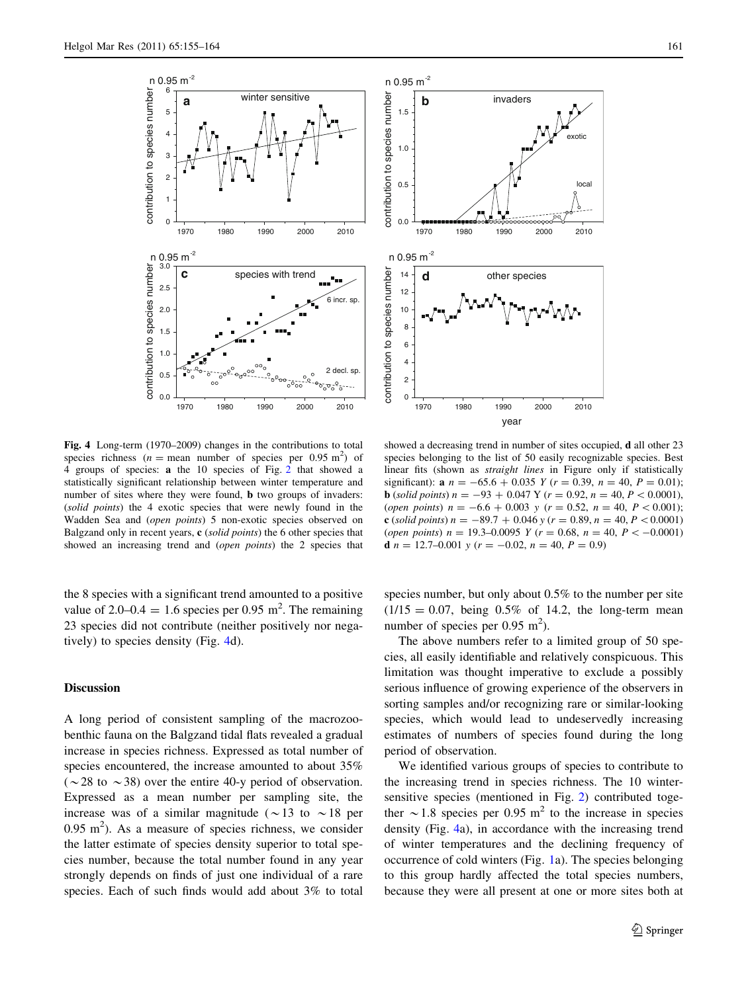<span id="page-6-0"></span>

Fig. 4 Long-term (1970–2009) changes in the contributions to total species richness ( $n =$  mean number of species per 0.95 m<sup>2</sup>) of 4 groups of species: a the 10 species of Fig. [2](#page-4-0) that showed a statistically significant relationship between winter temperature and number of sites where they were found, **b** two groups of invaders: (solid points) the 4 exotic species that were newly found in the Wadden Sea and (open points) 5 non-exotic species observed on Balgzand only in recent years,  $c$  (*solid points*) the 6 other species that showed an increasing trend and (open points) the 2 species that

showed a decreasing trend in number of sites occupied, d all other 23 species belonging to the list of 50 easily recognizable species. Best linear fits (shown as straight lines in Figure only if statistically significant): **a**  $n = -65.6 + 0.035$  Y ( $r = 0.39$ ,  $n = 40$ ,  $P = 0.01$ ); **b** (solid points)  $n = -93 + 0.047$  Y ( $r = 0.92$ ,  $n = 40$ ,  $P < 0.0001$ ), (open points)  $n = -6.6 + 0.003$  y ( $r = 0.52$ ,  $n = 40$ ,  $P < 0.001$ ); **c** (solid points)  $n = -89.7 + 0.046$  y ( $r = 0.89$ ,  $n = 40$ ,  $P < 0.0001$ ) (open points)  $n = 19.3{\text -}0.0095$  Y ( $r = 0.68$ ,  $n = 40$ ,  $P \lt -0.0001$ ) **d**  $n = 12.7{\text -}0.001$  y ( $r = -0.02$ ,  $n = 40$ ,  $P = 0.9$ )

the 8 species with a significant trend amounted to a positive value of  $2.0-0.4 = 1.6$  species per 0.95 m<sup>2</sup>. The remaining 23 species did not contribute (neither positively nor negatively) to species density (Fig. 4d).

# **Discussion**

A long period of consistent sampling of the macrozoobenthic fauna on the Balgzand tidal flats revealed a gradual increase in species richness. Expressed as total number of species encountered, the increase amounted to about 35% ( $\sim$ 28 to  $\sim$ 38) over the entire 40-y period of observation. Expressed as a mean number per sampling site, the increase was of a similar magnitude ( $\sim$ 13 to  $\sim$ 18 per  $0.95$  m<sup>2</sup>). As a measure of species richness, we consider the latter estimate of species density superior to total species number, because the total number found in any year strongly depends on finds of just one individual of a rare species. Each of such finds would add about 3% to total species number, but only about 0.5% to the number per site  $(1/15 = 0.07, \text{ being } 0.5\% \text{ of } 14.2, \text{ the long-term mean}$ number of species per  $0.95 \text{ m}^2$ ).

The above numbers refer to a limited group of 50 species, all easily identifiable and relatively conspicuous. This limitation was thought imperative to exclude a possibly serious influence of growing experience of the observers in sorting samples and/or recognizing rare or similar-looking species, which would lead to undeservedly increasing estimates of numbers of species found during the long period of observation.

We identified various groups of species to contribute to the increasing trend in species richness. The 10 wintersensitive species (mentioned in Fig. [2\)](#page-4-0) contributed together  $\sim$  1.8 species per 0.95 m<sup>2</sup> to the increase in species density (Fig. 4a), in accordance with the increasing trend of winter temperatures and the declining frequency of occurrence of cold winters (Fig. [1](#page-3-0)a). The species belonging to this group hardly affected the total species numbers, because they were all present at one or more sites both at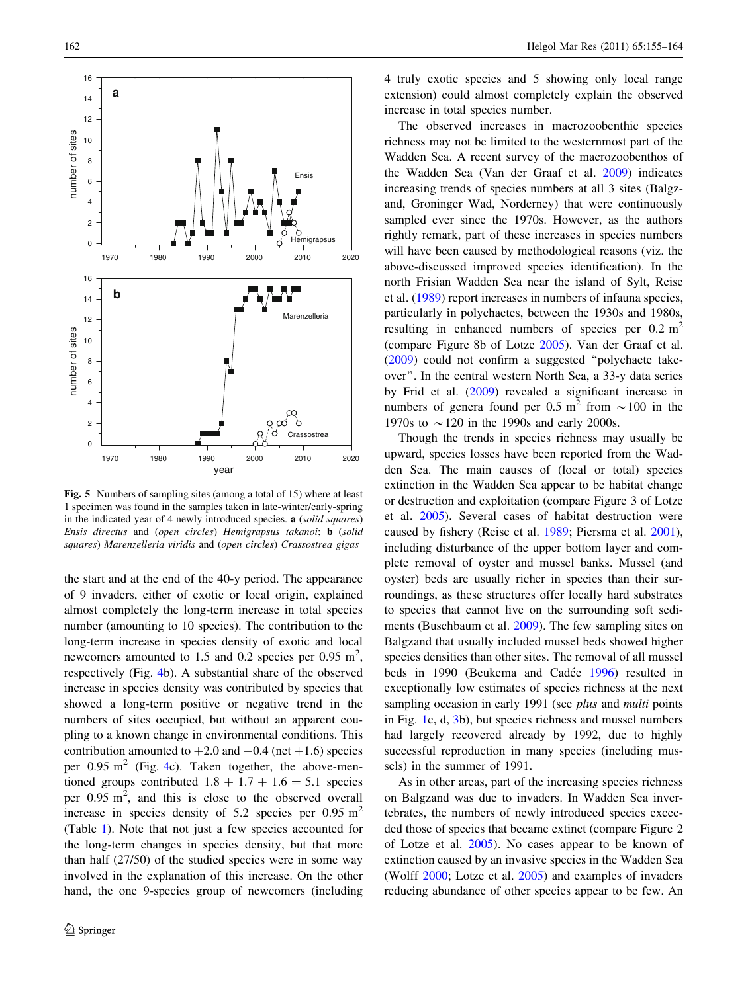<span id="page-7-0"></span>

Fig. 5 Numbers of sampling sites (among a total of 15) where at least 1 specimen was found in the samples taken in late-winter/early-spring in the indicated year of 4 newly introduced species. a (solid squares) Ensis directus and (open circles) Hemigrapsus takanoi; b (solid squares) Marenzelleria viridis and (open circles) Crassostrea gigas

the start and at the end of the 40-y period. The appearance of 9 invaders, either of exotic or local origin, explained almost completely the long-term increase in total species number (amounting to 10 species). The contribution to the long-term increase in species density of exotic and local newcomers amounted to 1.5 and 0.2 species per 0.95  $m^2$ , respectively (Fig. [4](#page-6-0)b). A substantial share of the observed increase in species density was contributed by species that showed a long-term positive or negative trend in the numbers of sites occupied, but without an apparent coupling to a known change in environmental conditions. This contribution amounted to  $+2.0$  and  $-0.4$  (net  $+1.6$ ) species per  $0.95 \text{ m}^2$  (Fig. [4](#page-6-0)c). Taken together, the above-mentioned groups contributed  $1.8 + 1.7 + 1.6 = 5.1$  species per  $0.95 \text{ m}^2$ , and this is close to the observed overall increase in species density of 5.2 species per  $0.95 \text{ m}^2$ (Table [1](#page-2-0)). Note that not just a few species accounted for the long-term changes in species density, but that more than half (27/50) of the studied species were in some way involved in the explanation of this increase. On the other hand, the one 9-species group of newcomers (including 4 truly exotic species and 5 showing only local range extension) could almost completely explain the observed increase in total species number.

The observed increases in macrozoobenthic species richness may not be limited to the westernmost part of the Wadden Sea. A recent survey of the macrozoobenthos of the Wadden Sea (Van der Graaf et al. [2009](#page-9-0)) indicates increasing trends of species numbers at all 3 sites (Balgzand, Groninger Wad, Norderney) that were continuously sampled ever since the 1970s. However, as the authors rightly remark, part of these increases in species numbers will have been caused by methodological reasons (viz. the above-discussed improved species identification). In the north Frisian Wadden Sea near the island of Sylt, Reise et al. [\(1989](#page-9-0)) report increases in numbers of infauna species, particularly in polychaetes, between the 1930s and 1980s, resulting in enhanced numbers of species per  $0.2 \text{ m}^2$ (compare Figure 8b of Lotze [2005\)](#page-9-0). Van der Graaf et al. [\(2009](#page-9-0)) could not confirm a suggested ''polychaete takeover''. In the central western North Sea, a 33-y data series by Frid et al. [\(2009](#page-9-0)) revealed a significant increase in numbers of genera found per 0.5 m<sup>2</sup> from  $\sim$ 100 in the 1970s to  $\sim$  120 in the 1990s and early 2000s.

Though the trends in species richness may usually be upward, species losses have been reported from the Wadden Sea. The main causes of (local or total) species extinction in the Wadden Sea appear to be habitat change or destruction and exploitation (compare Figure 3 of Lotze et al. [2005](#page-9-0)). Several cases of habitat destruction were caused by fishery (Reise et al. [1989](#page-9-0); Piersma et al. [2001](#page-9-0)), including disturbance of the upper bottom layer and complete removal of oyster and mussel banks. Mussel (and oyster) beds are usually richer in species than their surroundings, as these structures offer locally hard substrates to species that cannot live on the surrounding soft sediments (Buschbaum et al. [2009](#page-8-0)). The few sampling sites on Balgzand that usually included mussel beds showed higher species densities than other sites. The removal of all mussel beds in 1990 (Beukema and Cadée [1996](#page-8-0)) resulted in exceptionally low estimates of species richness at the next sampling occasion in early 1991 (see *plus* and *multi* points in Fig. [1c](#page-3-0), d, [3b](#page-5-0)), but species richness and mussel numbers had largely recovered already by 1992, due to highly successful reproduction in many species (including mussels) in the summer of 1991.

As in other areas, part of the increasing species richness on Balgzand was due to invaders. In Wadden Sea invertebrates, the numbers of newly introduced species exceeded those of species that became extinct (compare Figure 2 of Lotze et al. [2005](#page-9-0)). No cases appear to be known of extinction caused by an invasive species in the Wadden Sea (Wolff [2000;](#page-9-0) Lotze et al. [2005\)](#page-9-0) and examples of invaders reducing abundance of other species appear to be few. An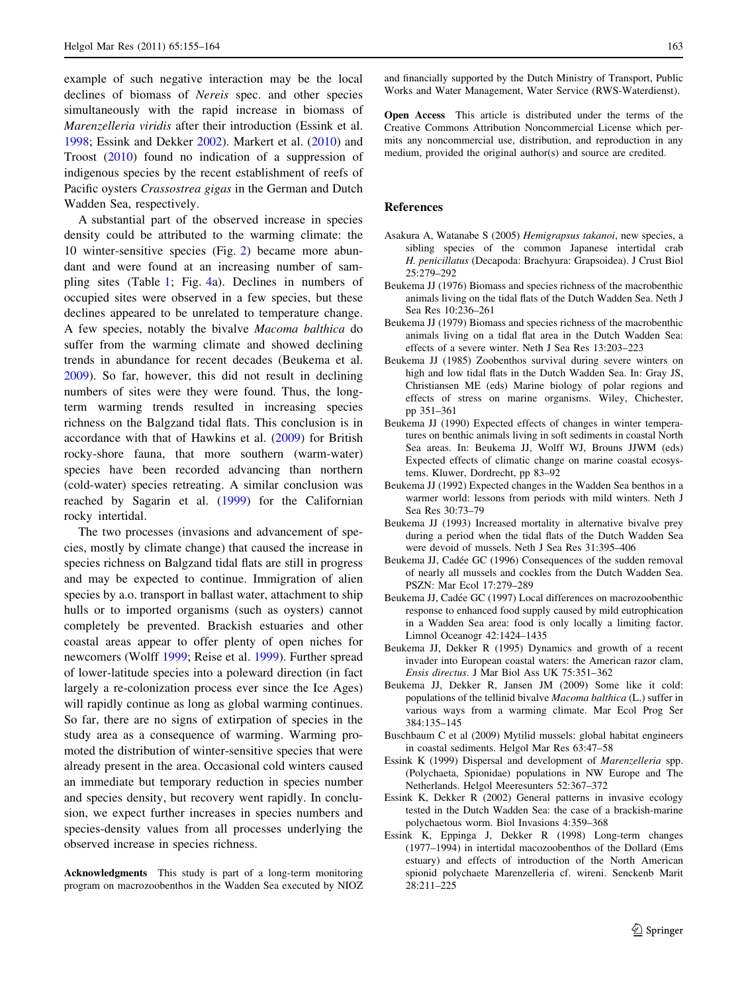<span id="page-8-0"></span>example of such negative interaction may be the local declines of biomass of Nereis spec. and other species simultaneously with the rapid increase in biomass of Marenzelleria viridis after their introduction (Essink et al. 1998; Essink and Dekker 2002). Markert et al. [\(2010](#page-9-0)) and Troost ([2010\)](#page-9-0) found no indication of a suppression of indigenous species by the recent establishment of reefs of Pacific oysters *Crassostrea gigas* in the German and Dutch Wadden Sea, respectively.

A substantial part of the observed increase in species density could be attributed to the warming climate: the 10 winter-sensitive species (Fig. [2](#page-4-0)) became more abundant and were found at an increasing number of sampling sites (Table [1](#page-2-0); Fig. [4](#page-6-0)a). Declines in numbers of occupied sites were observed in a few species, but these declines appeared to be unrelated to temperature change. A few species, notably the bivalve Macoma balthica do suffer from the warming climate and showed declining trends in abundance for recent decades (Beukema et al. 2009). So far, however, this did not result in declining numbers of sites were they were found. Thus, the longterm warming trends resulted in increasing species richness on the Balgzand tidal flats. This conclusion is in accordance with that of Hawkins et al. [\(2009](#page-9-0)) for British rocky-shore fauna, that more southern (warm-water) species have been recorded advancing than northern (cold-water) species retreating. A similar conclusion was reached by Sagarin et al. [\(1999](#page-9-0)) for the Californian rocky intertidal.

The two processes (invasions and advancement of species, mostly by climate change) that caused the increase in species richness on Balgzand tidal flats are still in progress and may be expected to continue. Immigration of alien species by a.o. transport in ballast water, attachment to ship hulls or to imported organisms (such as oysters) cannot completely be prevented. Brackish estuaries and other coastal areas appear to offer plenty of open niches for newcomers (Wolff [1999](#page-9-0); Reise et al. [1999](#page-9-0)). Further spread of lower-latitude species into a poleward direction (in fact largely a re-colonization process ever since the Ice Ages) will rapidly continue as long as global warming continues. So far, there are no signs of extirpation of species in the study area as a consequence of warming. Warming promoted the distribution of winter-sensitive species that were already present in the area. Occasional cold winters caused an immediate but temporary reduction in species number and species density, but recovery went rapidly. In conclusion, we expect further increases in species numbers and species-density values from all processes underlying the observed increase in species richness.

Acknowledgments This study is part of a long-term monitoring program on macrozoobenthos in the Wadden Sea executed by NIOZ and financially supported by the Dutch Ministry of Transport, Public Works and Water Management, Water Service (RWS-Waterdienst).

Open Access This article is distributed under the terms of the Creative Commons Attribution Noncommercial License which permits any noncommercial use, distribution, and reproduction in any medium, provided the original author(s) and source are credited.

#### References

- Asakura A, Watanabe S (2005) Hemigrapsus takanoi, new species, a sibling species of the common Japanese intertidal crab H. penicillatus (Decapoda: Brachyura: Grapsoidea). J Crust Biol 25:279–292
- Beukema JJ (1976) Biomass and species richness of the macrobenthic animals living on the tidal flats of the Dutch Wadden Sea. Neth J Sea Res 10:236–261
- Beukema JJ (1979) Biomass and species richness of the macrobenthic animals living on a tidal flat area in the Dutch Wadden Sea: effects of a severe winter. Neth J Sea Res 13:203–223
- Beukema JJ (1985) Zoobenthos survival during severe winters on high and low tidal flats in the Dutch Wadden Sea. In: Gray JS, Christiansen ME (eds) Marine biology of polar regions and effects of stress on marine organisms. Wiley, Chichester, pp 351–361
- Beukema JJ (1990) Expected effects of changes in winter temperatures on benthic animals living in soft sediments in coastal North Sea areas. In: Beukema JJ, Wolff WJ, Brouns JJWM (eds) Expected effects of climatic change on marine coastal ecosystems. Kluwer, Dordrecht, pp 83–92
- Beukema JJ (1992) Expected changes in the Wadden Sea benthos in a warmer world: lessons from periods with mild winters. Neth J Sea Res 30:73–79
- Beukema JJ (1993) Increased mortality in alternative bivalve prey during a period when the tidal flats of the Dutch Wadden Sea were devoid of mussels. Neth J Sea Res 31:395–406
- Beukema JJ, Cadée GC (1996) Consequences of the sudden removal of nearly all mussels and cockles from the Dutch Wadden Sea. PSZN: Mar Ecol 17:279–289
- Beukema JJ, Cadée GC (1997) Local differences on macrozoobenthic response to enhanced food supply caused by mild eutrophication in a Wadden Sea area: food is only locally a limiting factor. Limnol Oceanogr 42:1424–1435
- Beukema JJ, Dekker R (1995) Dynamics and growth of a recent invader into European coastal waters: the American razor clam, Ensis directus. J Mar Biol Ass UK 75:351–362
- Beukema JJ, Dekker R, Jansen JM (2009) Some like it cold: populations of the tellinid bivalve Macoma balthica (L.) suffer in various ways from a warming climate. Mar Ecol Prog Ser 384:135–145
- Buschbaum C et al (2009) Mytilid mussels: global habitat engineers in coastal sediments. Helgol Mar Res 63:47–58
- Essink K (1999) Dispersal and development of Marenzelleria spp. (Polychaeta, Spionidae) populations in NW Europe and The Netherlands. Helgol Meeresunters 52:367–372
- Essink K, Dekker R (2002) General patterns in invasive ecology tested in the Dutch Wadden Sea: the case of a brackish-marine polychaetous worm. Biol Invasions 4:359–368
- Essink K, Eppinga J, Dekker R (1998) Long-term changes (1977–1994) in intertidal macozoobenthos of the Dollard (Ems estuary) and effects of introduction of the North American spionid polychaete Marenzelleria cf. wireni. Senckenb Marit 28:211–225